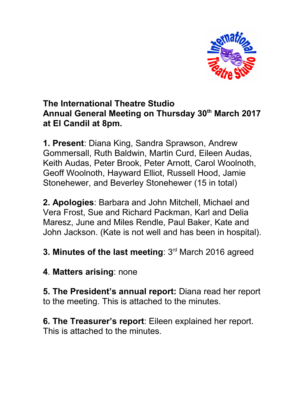

## **The International Theatre Studio Annual General Meeting on Thursday 30th March 2017 at El Candil at 8pm.**

**1. Present**: Diana King, Sandra Sprawson, Andrew Gommersall, Ruth Baldwin, Martin Curd, Eileen Audas, Keith Audas, Peter Brook, Peter Arnott, Carol Woolnoth, Geoff Woolnoth, Hayward Elliot, Russell Hood, Jamie Stonehewer, and Beverley Stonehewer (15 in total)

**2. Apologies**: Barbara and John Mitchell, Michael and Vera Frost, Sue and Richard Packman, Karl and Delia Maresz, June and Miles Rendle, Paul Baker, Kate and John Jackson. (Kate is not well and has been in hospital).

**3. Minutes of the last meeting: 3rd March 2016 agreed** 

**4**. **Matters arising**: none

**5. The President's annual report:** Diana read her report to the meeting. This is attached to the minutes.

**6. The Treasurer's report**: Eileen explained her report. This is attached to the minutes.